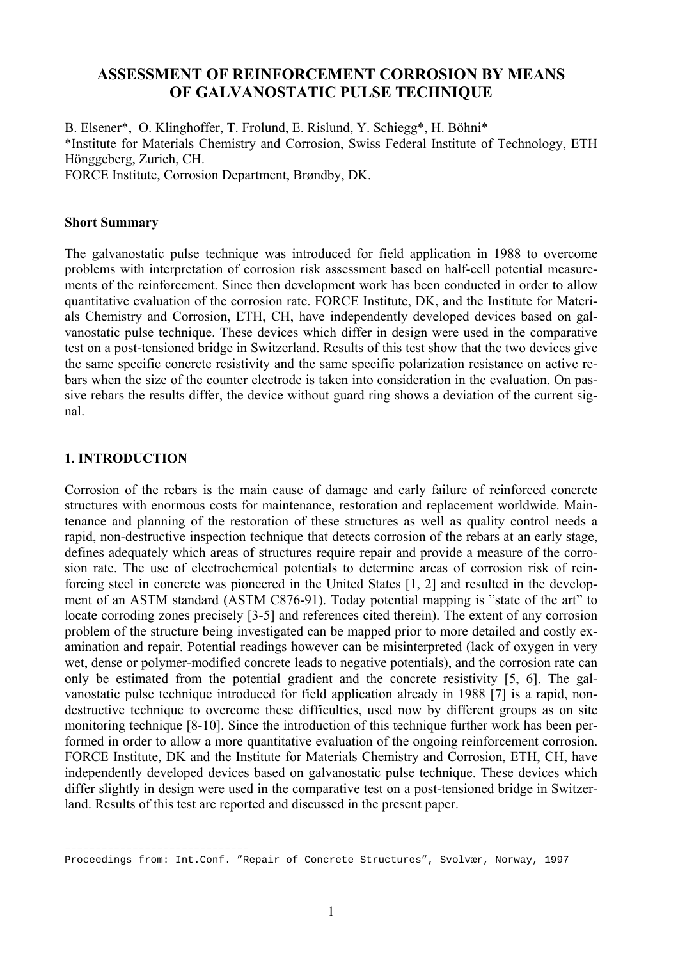# **ASSESSMENT OF REINFORCEMENT CORROSION BY MEANS OF GALVANOSTATIC PULSE TECHNIQUE**

B. Elsener\*, O. Klinghoffer, T. Frolund, E. Rislund, Y. Schiegg\*, H. Böhni\* \*Institute for Materials Chemistry and Corrosion, Swiss Federal Institute of Technology, ETH Hönggeberg, Zurich, CH. FORCE Institute, Corrosion Department, Brøndby, DK.

#### **Short Summary**

The galvanostatic pulse technique was introduced for field application in 1988 to overcome problems with interpretation of corrosion risk assessment based on half-cell potential measurements of the reinforcement. Since then development work has been conducted in order to allow quantitative evaluation of the corrosion rate. FORCE Institute, DK, and the Institute for Materials Chemistry and Corrosion, ETH, CH, have independently developed devices based on galvanostatic pulse technique. These devices which differ in design were used in the comparative test on a post-tensioned bridge in Switzerland. Results of this test show that the two devices give the same specific concrete resistivity and the same specific polarization resistance on active rebars when the size of the counter electrode is taken into consideration in the evaluation. On passive rebars the results differ, the device without guard ring shows a deviation of the current signal.

### **1. INTRODUCTION**

Corrosion of the rebars is the main cause of damage and early failure of reinforced concrete structures with enormous costs for maintenance, restoration and replacement worldwide. Maintenance and planning of the restoration of these structures as well as quality control needs a rapid, non-destructive inspection technique that detects corrosion of the rebars at an early stage, defines adequately which areas of structures require repair and provide a measure of the corrosion rate. The use of electrochemical potentials to determine areas of corrosion risk of reinforcing steel in concrete was pioneered in the United States [1, 2] and resulted in the development of an ASTM standard (ASTM C876-91). Today potential mapping is "state of the art" to locate corroding zones precisely [3-5] and references cited therein). The extent of any corrosion problem of the structure being investigated can be mapped prior to more detailed and costly examination and repair. Potential readings however can be misinterpreted (lack of oxygen in very wet, dense or polymer-modified concrete leads to negative potentials), and the corrosion rate can only be estimated from the potential gradient and the concrete resistivity [5, 6]. The galvanostatic pulse technique introduced for field application already in 1988 [7] is a rapid, nondestructive technique to overcome these difficulties, used now by different groups as on site monitoring technique [8-10]. Since the introduction of this technique further work has been performed in order to allow a more quantitative evaluation of the ongoing reinforcement corrosion. FORCE Institute, DK and the Institute for Materials Chemistry and Corrosion, ETH, CH, have independently developed devices based on galvanostatic pulse technique. These devices which differ slightly in design were used in the comparative test on a post-tensioned bridge in Switzerland. Results of this test are reported and discussed in the present paper.

<sup>------------------------------</sup>  Proceedings from: Int.Conf. "Repair of Concrete Structures", Svolvær, Norway, 1997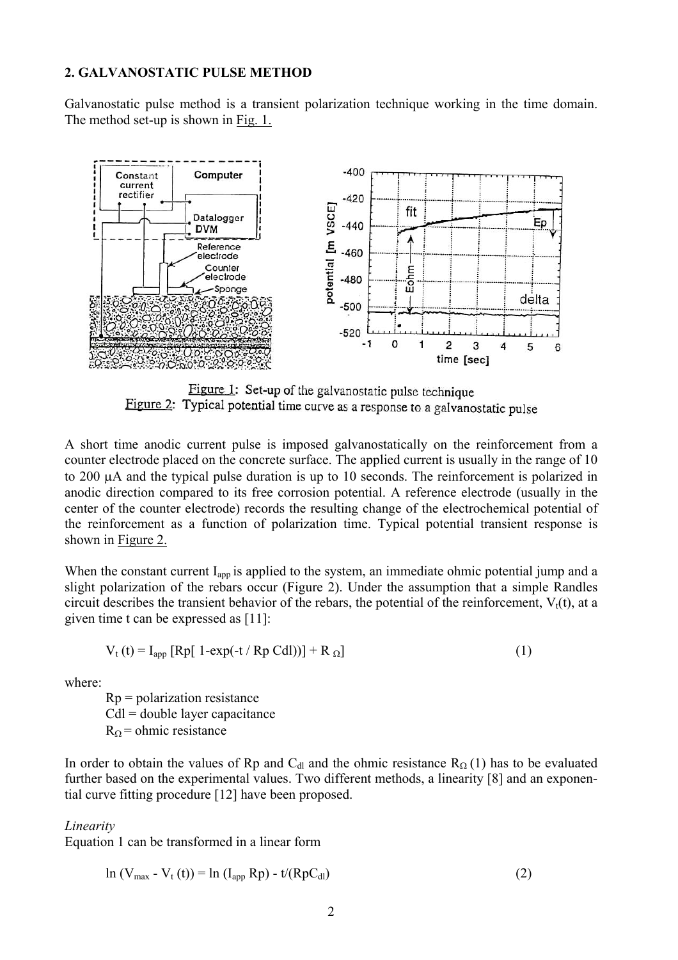#### **2. GALVANOSTATIC PULSE METHOD**

Galvanostatic pulse method is a transient polarization technique working in the time domain. The method set-up is shown in Fig. 1.



Figure 1: Set-up of the galvanostatic pulse technique Figure 2: Typical potential time curve as a response to a galvanostatic pulse

A short time anodic current pulse is imposed galvanostatically on the reinforcement from a counter electrode placed on the concrete surface. The applied current is usually in the range of 10 to 200 µA and the typical pulse duration is up to 10 seconds. The reinforcement is polarized in anodic direction compared to its free corrosion potential. A reference electrode (usually in the center of the counter electrode) records the resulting change of the electrochemical potential of the reinforcement as a function of polarization time. Typical potential transient response is shown in Figure 2.

When the constant current I<sub>app</sub> is applied to the system, an immediate ohmic potential jump and a slight polarization of the rebars occur (Figure 2). Under the assumption that a simple Randles circuit describes the transient behavior of the rebars, the potential of the reinforcement,  $V_t(t)$ , at a given time t can be expressed as [11]:

$$
V_{t}(t) = I_{app} [Rp[1-exp(-t / Rp\text{ Cd}]))] + R_{\Omega}]
$$
\n(1)

where:

 $Rp = polarization resistance$  $Cdl$  = double layer capacitance  $R<sub>O</sub>$  = ohmic resistance

In order to obtain the values of Rp and C<sub>dl</sub> and the ohmic resistance  $R_{\Omega}(1)$  has to be evaluated further based on the experimental values. Two different methods, a linearity [8] and an exponential curve fitting procedure [12] have been proposed.

#### *Linearity*

Equation 1 can be transformed in a linear form

 $\ln (V_{\text{max}} - V_t(t)) = \ln (I_{\text{app}} Rp) - t/(RpC_{\text{dl}})$  (2)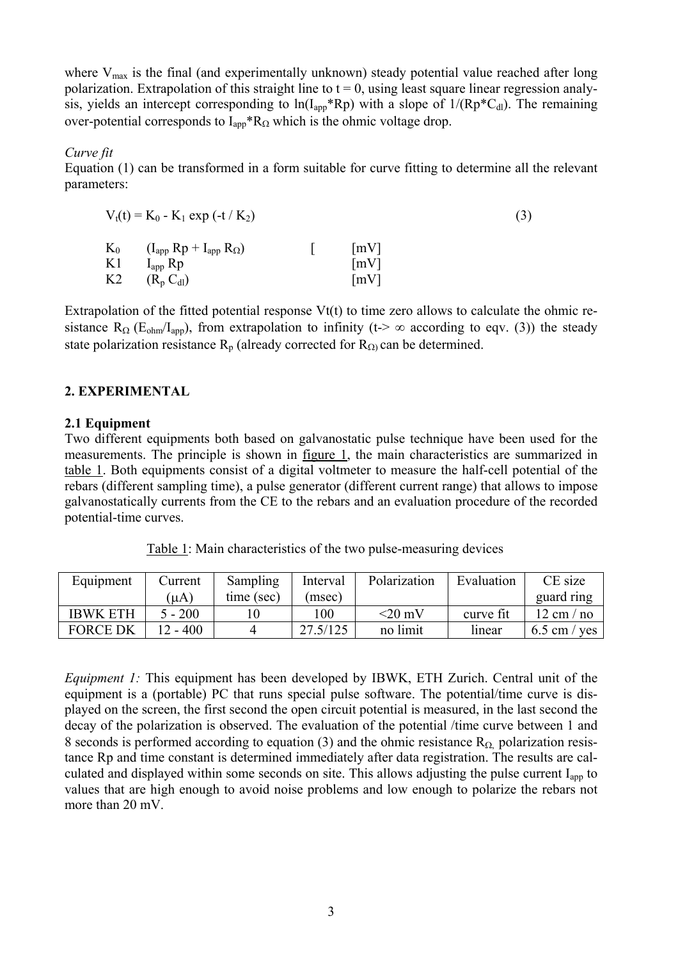where  $V_{\text{max}}$  is the final (and experimentally unknown) steady potential value reached after long polarization. Extrapolation of this straight line to  $t = 0$ , using least square linear regression analysis, yields an intercept corresponding to  $ln(I_{app} *Rp)$  with a slope of  $1/(Rp*C_{dl})$ . The remaining over-potential corresponds to  $I_{app} * R_{\Omega}$  which is the ohmic voltage drop.

*Curve fit* 

Equation (1) can be transformed in a form suitable for curve fitting to determine all the relevant parameters:

| $V_t(t) = K_0 - K_1 \exp(-t / K_2)$ | (3)                                                                   |  |                                                 |  |
|-------------------------------------|-----------------------------------------------------------------------|--|-------------------------------------------------|--|
| $K_0$<br>K1<br>K <sub>2</sub>       | $(I_{app} Rp + I_{app} R_{\Omega})$<br>$I_{app}$ Rp<br>$(R_p C_{dl})$ |  | mV <br>$\lceil mV \rceil$<br>$\lceil mV \rceil$ |  |

Extrapolation of the fitted potential response  $Vt(t)$  to time zero allows to calculate the ohmic resistance R<sub>Ω</sub> (E<sub>ohm</sub>/I<sub>app</sub>), from extrapolation to infinity (t-> ∞ according to eqv. (3)) the steady state polarization resistance  $R_p$  (already corrected for  $R_{\Omega}$ ) can be determined.

### **2. EXPERIMENTAL**

### **2.1 Equipment**

Two different equipments both based on galvanostatic pulse technique have been used for the measurements. The principle is shown in figure 1, the main characteristics are summarized in table 1. Both equipments consist of a digital voltmeter to measure the half-cell potential of the rebars (different sampling time), a pulse generator (different current range) that allows to impose galvanostatically currents from the CE to the rebars and an evaluation procedure of the recorded potential-time curves.

Table 1: Main characteristics of the two pulse-measuring devices

| Equipment       | Current                | Sampling   | Interval | Polarization | Evaluation | CE size                     |
|-----------------|------------------------|------------|----------|--------------|------------|-----------------------------|
|                 | (uA)                   | time (sec) | (msec)   |              |            | guard ring                  |
| <b>IBWK ETH</b> | $5 - 200$              |            | 100      | $\leq$ 20 mV | curve fit  | $12 \text{ cm} / \text{no}$ |
| <b>FORCE DK</b> | $-400$<br>$12^{\circ}$ |            | 27.5/125 | no limit     | linear     | $6.5$ cm / yes              |

*Equipment 1:* This equipment has been developed by IBWK, ETH Zurich. Central unit of the equipment is a (portable) PC that runs special pulse software. The potential/time curve is displayed on the screen, the first second the open circuit potential is measured, in the last second the decay of the polarization is observed. The evaluation of the potential /time curve between 1 and 8 seconds is performed according to equation (3) and the ohmic resistance  $R_{\Omega}$  polarization resistance Rp and time constant is determined immediately after data registration. The results are calculated and displayed within some seconds on site. This allows adjusting the pulse current I<sub>app</sub> to values that are high enough to avoid noise problems and low enough to polarize the rebars not more than 20 mV.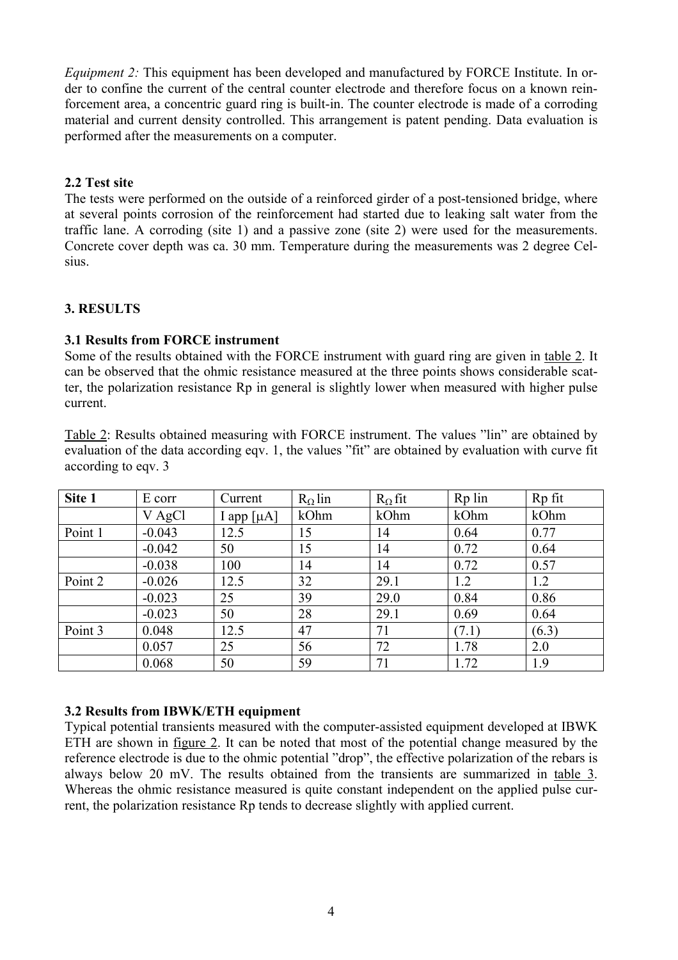*Equipment 2:* This equipment has been developed and manufactured by FORCE Institute. In order to confine the current of the central counter electrode and therefore focus on a known reinforcement area, a concentric guard ring is built-in. The counter electrode is made of a corroding material and current density controlled. This arrangement is patent pending. Data evaluation is performed after the measurements on a computer.

## **2.2 Test site**

The tests were performed on the outside of a reinforced girder of a post-tensioned bridge, where at several points corrosion of the reinforcement had started due to leaking salt water from the traffic lane. A corroding (site 1) and a passive zone (site 2) were used for the measurements. Concrete cover depth was ca. 30 mm. Temperature during the measurements was 2 degree Celsius.

## **3. RESULTS**

## **3.1 Results from FORCE instrument**

Some of the results obtained with the FORCE instrument with guard ring are given in table 2. It can be observed that the ohmic resistance measured at the three points shows considerable scatter, the polarization resistance Rp in general is slightly lower when measured with higher pulse current.

Table 2: Results obtained measuring with FORCE instrument. The values "lin" are obtained by evaluation of the data according eqv. 1, the values "fit" are obtained by evaluation with curve fit according to eqv. 3

| Site 1  | E corr   | Current         | $R_{\Omega}$ lin | $R_{\Omega}$ fit | Rp lin | Rp fit |
|---------|----------|-----------------|------------------|------------------|--------|--------|
|         | V AgCl   | I app $[\mu A]$ | kOhm             | kOhm             | kOhm   | kOhm   |
| Point 1 | $-0.043$ | 12.5            | 15               | 14               | 0.64   | 0.77   |
|         | $-0.042$ | 50              | 15               | 14               | 0.72   | 0.64   |
|         | $-0.038$ | 100             | 14               | 14               | 0.72   | 0.57   |
| Point 2 | $-0.026$ | 12.5            | 32               | 29.1             | 1.2    | 1.2    |
|         | $-0.023$ | 25              | 39               | 29.0             | 0.84   | 0.86   |
|         | $-0.023$ | 50              | 28               | 29.1             | 0.69   | 0.64   |
| Point 3 | 0.048    | 12.5            | 47               | 71               | (7.1)  | (6.3)  |
|         | 0.057    | 25              | 56               | 72               | 1.78   | 2.0    |
|         | 0.068    | 50              | 59               | 71               | 1.72   | 1.9    |

### **3.2 Results from IBWK/ETH equipment**

Typical potential transients measured with the computer-assisted equipment developed at IBWK ETH are shown in figure 2. It can be noted that most of the potential change measured by the reference electrode is due to the ohmic potential "drop", the effective polarization of the rebars is always below 20 mV. The results obtained from the transients are summarized in table 3. Whereas the ohmic resistance measured is quite constant independent on the applied pulse current, the polarization resistance Rp tends to decrease slightly with applied current.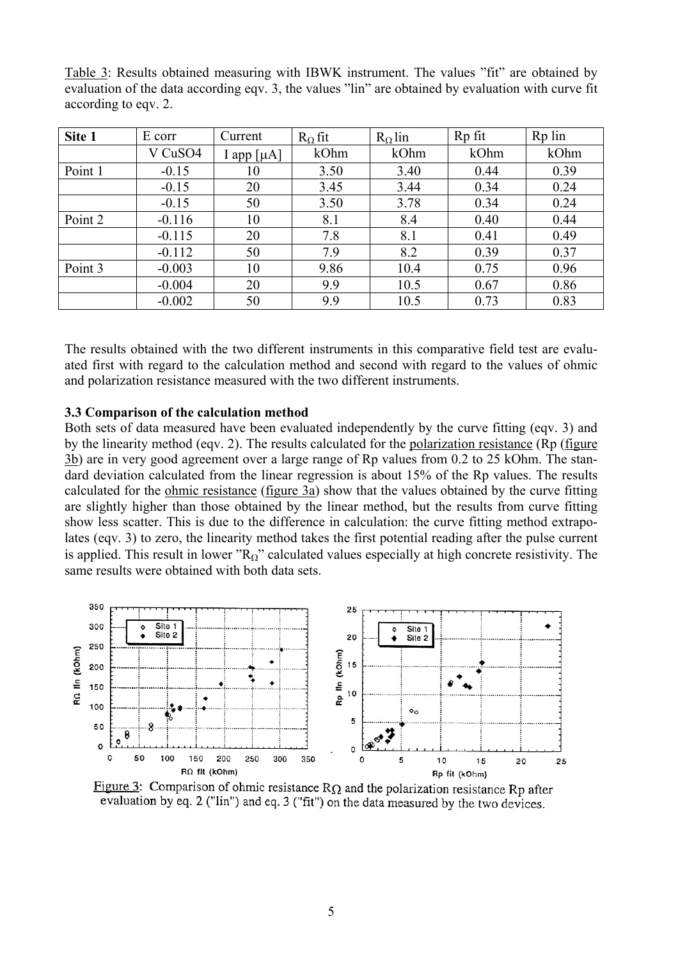| Site 1  | E corr   | Current    | $R_{\Omega}$ fit | $R_{\Omega}$ lin | Rp fit | Rp lin |
|---------|----------|------------|------------------|------------------|--------|--------|
|         | V CuSO4  | I app [µA] | kOhm             | kOhm             | kOhm   | kOhm   |
| Point 1 | $-0.15$  | 10         | 3.50             | 3.40             | 0.44   | 0.39   |
|         | $-0.15$  | 20         | 3.45             | 3.44             | 0.34   | 0.24   |
|         | $-0.15$  | 50         | 3.50             | 3.78             | 0.34   | 0.24   |
| Point 2 | $-0.116$ | 10         | 8.1              | 8.4              | 0.40   | 0.44   |
|         | $-0.115$ | 20         | 7.8              | 8.1              | 0.41   | 0.49   |
|         | $-0.112$ | 50         | 7.9              | 8.2              | 0.39   | 0.37   |
| Point 3 | $-0.003$ | 10         | 9.86             | 10.4             | 0.75   | 0.96   |
|         | $-0.004$ | 20         | 9.9              | 10.5             | 0.67   | 0.86   |
|         | $-0.002$ | 50         | 9.9              | 10.5             | 0.73   | 0.83   |

Table 3: Results obtained measuring with IBWK instrument. The values "fit" are obtained by evaluation of the data according eqv. 3, the values "lin" are obtained by evaluation with curve fit according to eqv. 2.

The results obtained with the two different instruments in this comparative field test are evaluated first with regard to the calculation method and second with regard to the values of ohmic and polarization resistance measured with the two different instruments.

### **3.3 Comparison of the calculation method**

Both sets of data measured have been evaluated independently by the curve fitting (eqv. 3) and by the linearity method (eqv. 2). The results calculated for the polarization resistance (Rp (figure 3b) are in very good agreement over a large range of Rp values from 0.2 to 25 kOhm. The standard deviation calculated from the linear regression is about 15% of the Rp values. The results calculated for the ohmic resistance (figure 3a) show that the values obtained by the curve fitting are slightly higher than those obtained by the linear method, but the results from curve fitting show less scatter. This is due to the difference in calculation: the curve fitting method extrapolates (eqv. 3) to zero, the linearity method takes the first potential reading after the pulse current is applied. This result in lower " $R<sub>Q</sub>$ " calculated values especially at high concrete resistivity. The same results were obtained with both data sets.



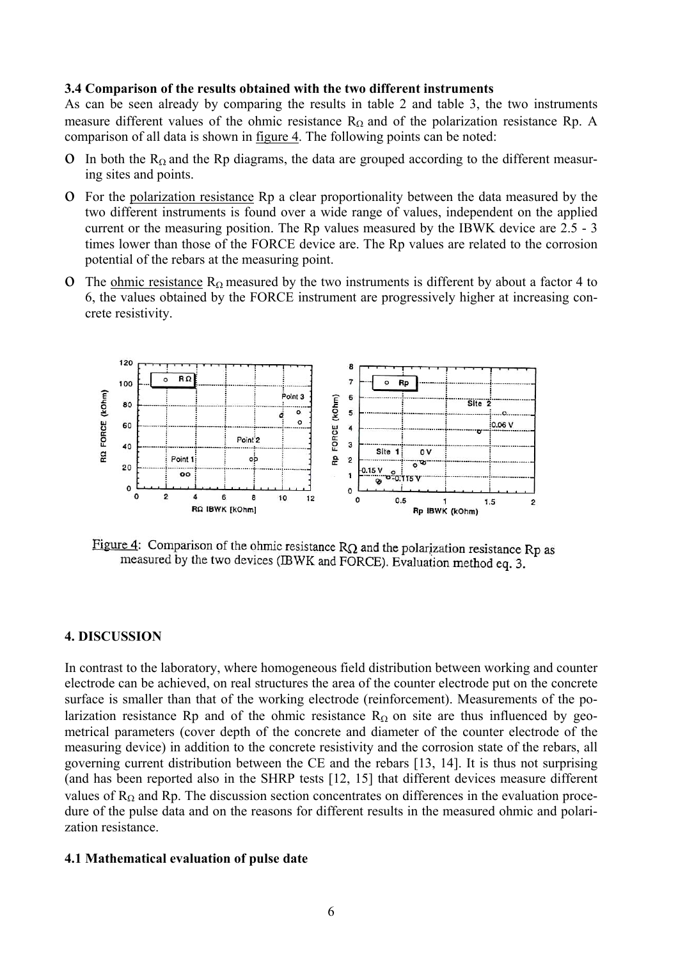#### **3.4 Comparison of the results obtained with the two different instruments**

As can be seen already by comparing the results in table 2 and table 3, the two instruments measure different values of the ohmic resistance  $R<sub>O</sub>$  and of the polarization resistance Rp. A comparison of all data is shown in figure 4. The following points can be noted:

- O In both the  $R_{\Omega}$  and the Rp diagrams, the data are grouped according to the different measuring sites and points.
- o For the polarization resistance Rp a clear proportionality between the data measured by the two different instruments is found over a wide range of values, independent on the applied current or the measuring position. The Rp values measured by the IBWK device are 2.5 - 3 times lower than those of the FORCE device are. The Rp values are related to the corrosion potential of the rebars at the measuring point.
- O The ohmic resistance  $R_{\Omega}$  measured by the two instruments is different by about a factor 4 to 6, the values obtained by the FORCE instrument are progressively higher at increasing concrete resistivity.



Figure 4: Comparison of the ohmic resistance  $R\Omega$  and the polarization resistance Rp as measured by the two devices (IBWK and FORCE). Evaluation method eq. 3.

### **4. DISCUSSION**

In contrast to the laboratory, where homogeneous field distribution between working and counter electrode can be achieved, on real structures the area of the counter electrode put on the concrete surface is smaller than that of the working electrode (reinforcement). Measurements of the polarization resistance Rp and of the ohmic resistance  $R_{\Omega}$  on site are thus influenced by geometrical parameters (cover depth of the concrete and diameter of the counter electrode of the measuring device) in addition to the concrete resistivity and the corrosion state of the rebars, all governing current distribution between the CE and the rebars [13, 14]. It is thus not surprising (and has been reported also in the SHRP tests [12, 15] that different devices measure different values of  $R<sub>O</sub>$  and Rp. The discussion section concentrates on differences in the evaluation procedure of the pulse data and on the reasons for different results in the measured ohmic and polarization resistance.

#### **4.1 Mathematical evaluation of pulse date**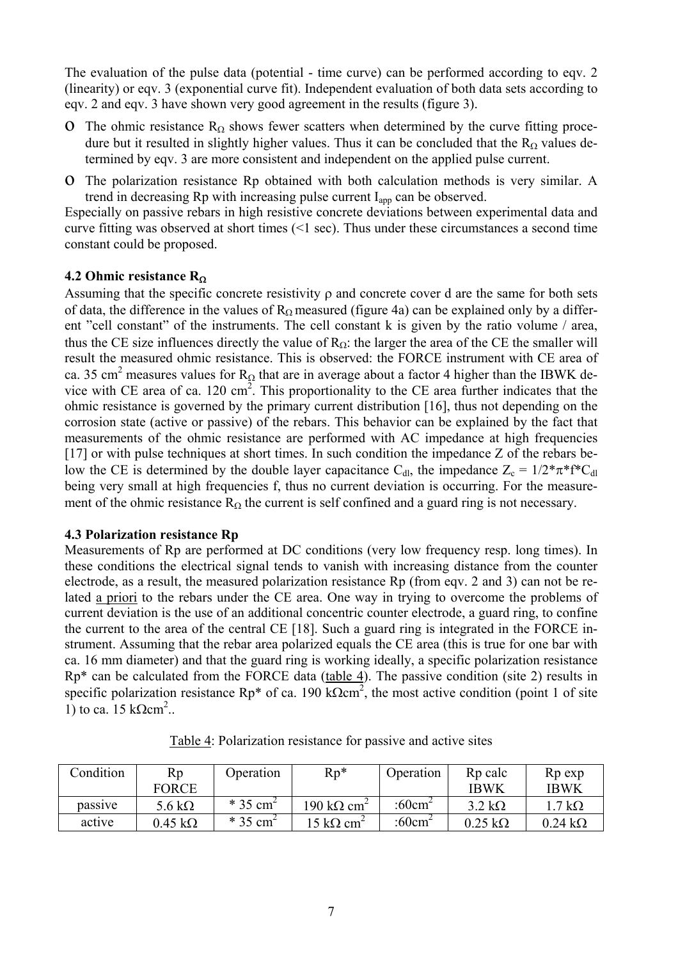The evaluation of the pulse data (potential - time curve) can be performed according to eqv. 2 (linearity) or eqv. 3 (exponential curve fit). Independent evaluation of both data sets according to eqv. 2 and eqv. 3 have shown very good agreement in the results (figure 3).

- O The ohmic resistance  $R_{\Omega}$  shows fewer scatters when determined by the curve fitting procedure but it resulted in slightly higher values. Thus it can be concluded that the  $R_{\Omega}$  values determined by eqv. 3 are more consistent and independent on the applied pulse current.
- o The polarization resistance Rp obtained with both calculation methods is very similar. A trend in decreasing Rp with increasing pulse current  $I_{\text{ann}}$  can be observed.

Especially on passive rebars in high resistive concrete deviations between experimental data and curve fitting was observed at short times (<1 sec). Thus under these circumstances a second time constant could be proposed.

### **4.2 Ohmic resistance R**<sup>Ω</sup>

Assuming that the specific concrete resistivity  $\rho$  and concrete cover d are the same for both sets of data, the difference in the values of  $R<sub>O</sub>$  measured (figure 4a) can be explained only by a different "cell constant" of the instruments. The cell constant k is given by the ratio volume / area, thus the CE size influences directly the value of  $R<sub>Ω</sub>$ : the larger the area of the CE the smaller will result the measured ohmic resistance. This is observed: the FORCE instrument with CE area of ca. 35 cm<sup>2</sup> measures values for R<sub>Ω</sub> that are in average about a factor 4 higher than the IBWK device with CE area of ca.  $120 \text{ cm}^2$ . This proportionality to the CE area further indicates that the ohmic resistance is governed by the primary current distribution [16], thus not depending on the corrosion state (active or passive) of the rebars. This behavior can be explained by the fact that measurements of the ohmic resistance are performed with AC impedance at high frequencies [17] or with pulse techniques at short times. In such condition the impedance Z of the rebars below the CE is determined by the double layer capacitance C<sub>dl</sub>, the impedance  $Z_c = 1/2^* \pi^* f^* C_{dl}$ being very small at high frequencies f, thus no current deviation is occurring. For the measurement of the ohmic resistance  $R_{\Omega}$  the current is self confined and a guard ring is not necessary.

### **4.3 Polarization resistance Rp**

Measurements of Rp are performed at DC conditions (very low frequency resp. long times). In these conditions the electrical signal tends to vanish with increasing distance from the counter electrode, as a result, the measured polarization resistance Rp (from eqv. 2 and 3) can not be related a priori to the rebars under the CE area. One way in trying to overcome the problems of current deviation is the use of an additional concentric counter electrode, a guard ring, to confine the current to the area of the central CE [18]. Such a guard ring is integrated in the FORCE instrument. Assuming that the rebar area polarized equals the CE area (this is true for one bar with ca. 16 mm diameter) and that the guard ring is working ideally, a specific polarization resistance  $Rp*$  can be calculated from the FORCE data (table 4). The passive condition (site 2) results in specific polarization resistance Rp<sup>\*</sup> of ca. 190 kΩcm<sup>2</sup>, the most active condition (point 1 of site 1) to ca. 15  $kΩcm<sup>2</sup>$ ..

| Condition | Rp                    | Operation              | $Rp*$                             | Operation | R <sub>p</sub> calc    | R <sub>p</sub> exp      |
|-----------|-----------------------|------------------------|-----------------------------------|-----------|------------------------|-------------------------|
|           | <b>FORCE</b>          |                        |                                   |           | <b>IBWK</b>            | <b>IBWK</b>             |
| passive   | 5.6 k $\Omega$        | $*$ 35 cm <sup>2</sup> | 190 kΩ cm <sup>2</sup>            | :60 $cm2$ | $3.2 \text{ k}\Omega$  | $1.7\,\mathrm{k}\Omega$ |
| active    | $0.45~\text{k}\Omega$ | $*35$ cm <sup>2</sup>  | $15 \text{ k}\Omega \text{ cm}^2$ | :60 $cm2$ | $0.25 \text{ k}\Omega$ | $0.24 \text{ k}\Omega$  |

Table 4: Polarization resistance for passive and active sites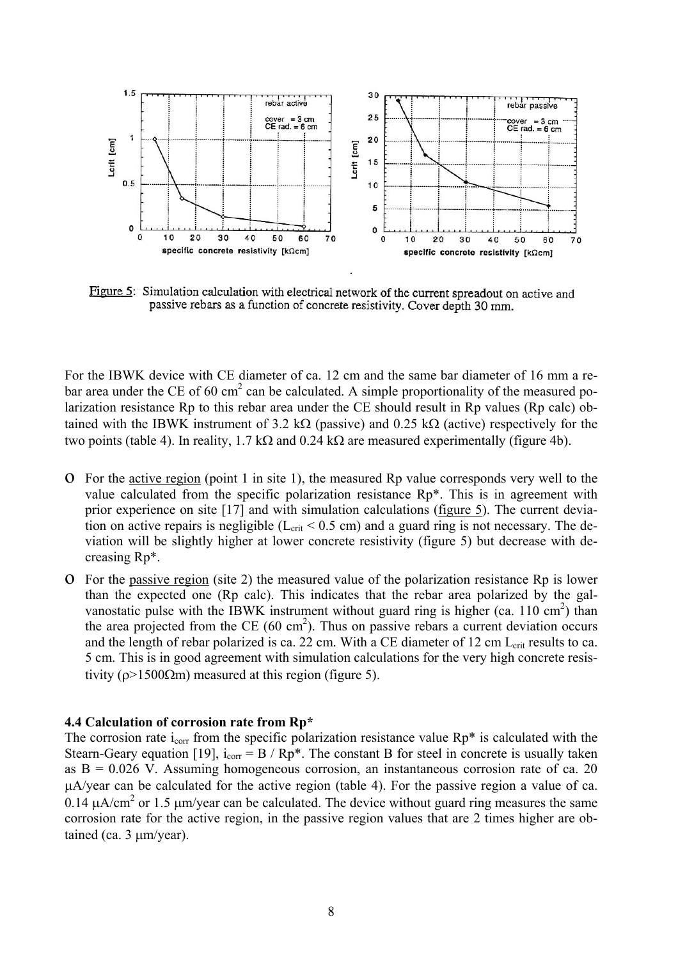

Figure 5: Simulation calculation with electrical network of the current spreadout on active and passive rebars as a function of concrete resistivity. Cover depth 30 mm.

For the IBWK device with CE diameter of ca. 12 cm and the same bar diameter of 16 mm a rebar area under the CE of 60 cm<sup>2</sup> can be calculated. A simple proportionality of the measured polarization resistance Rp to this rebar area under the CE should result in Rp values (Rp calc) obtained with the IBWK instrument of 3.2 kΩ (passive) and 0.25 kΩ (active) respectively for the two points (table 4). In reality,  $1.7$  kΩ and  $0.24$  kΩ are measured experimentally (figure 4b).

- o For the active region (point 1 in site 1), the measured Rp value corresponds very well to the value calculated from the specific polarization resistance Rp\*. This is in agreement with prior experience on site [17] and with simulation calculations (figure 5). The current deviation on active repairs is negligible ( $L_{crit}$  < 0.5 cm) and a guard ring is not necessary. The deviation will be slightly higher at lower concrete resistivity (figure 5) but decrease with decreasing Rp\*.
- o For the passive region (site 2) the measured value of the polarization resistance Rp is lower than the expected one (Rp calc). This indicates that the rebar area polarized by the galvanostatic pulse with the IBWK instrument without guard ring is higher (ca.  $110 \text{ cm}^2$ ) than the area projected from the CE  $(60 \text{ cm}^2)$ . Thus on passive rebars a current deviation occurs and the length of rebar polarized is ca. 22 cm. With a CE diameter of 12 cm  $L_{\rm crit}$  results to ca. 5 cm. This is in good agreement with simulation calculations for the very high concrete resistivity ( $\rho > 1500 \Omega$ m) measured at this region (figure 5).

#### **4.4 Calculation of corrosion rate from Rp\***

The corrosion rate  $i_{corr}$  from the specific polarization resistance value  $Rp*$  is calculated with the Stearn-Geary equation [19],  $i_{corr} = B / Rp^*$ . The constant B for steel in concrete is usually taken as  $B = 0.026$  V. Assuming homogeneous corrosion, an instantaneous corrosion rate of ca. 20 µA/year can be calculated for the active region (table 4). For the passive region a value of ca. 0.14  $\mu$ A/cm<sup>2</sup> or 1.5  $\mu$ m/year can be calculated. The device without guard ring measures the same corrosion rate for the active region, in the passive region values that are 2 times higher are obtained (ca. 3 µm/year).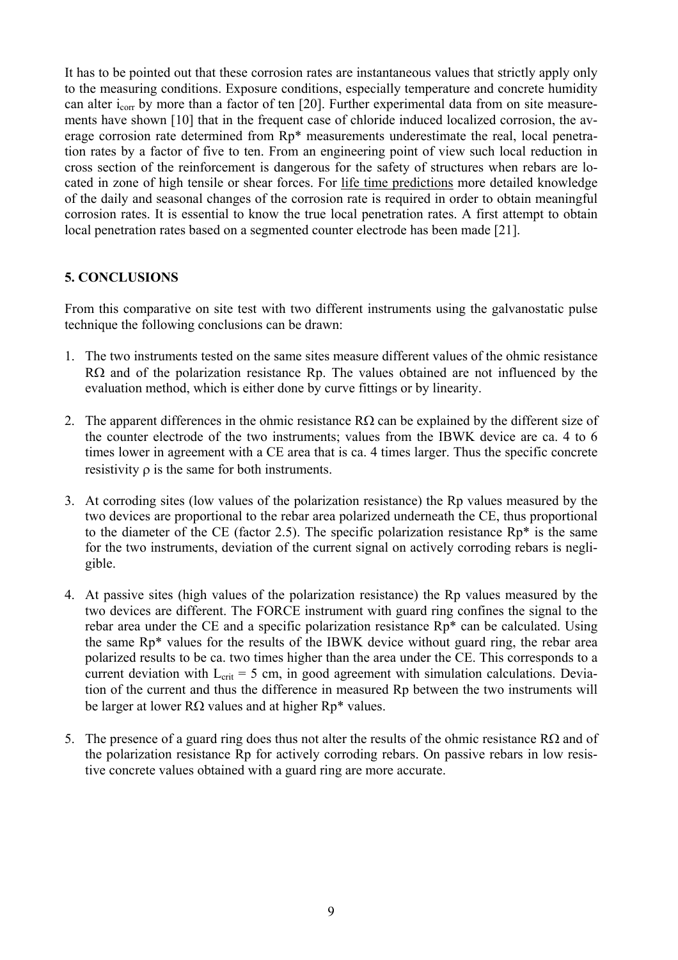It has to be pointed out that these corrosion rates are instantaneous values that strictly apply only to the measuring conditions. Exposure conditions, especially temperature and concrete humidity can alter  $i_{corr}$  by more than a factor of ten [20]. Further experimental data from on site measurements have shown [10] that in the frequent case of chloride induced localized corrosion, the average corrosion rate determined from Rp\* measurements underestimate the real, local penetration rates by a factor of five to ten. From an engineering point of view such local reduction in cross section of the reinforcement is dangerous for the safety of structures when rebars are located in zone of high tensile or shear forces. For life time predictions more detailed knowledge of the daily and seasonal changes of the corrosion rate is required in order to obtain meaningful corrosion rates. It is essential to know the true local penetration rates. A first attempt to obtain local penetration rates based on a segmented counter electrode has been made [21].

## **5. CONCLUSIONS**

From this comparative on site test with two different instruments using the galvanostatic pulse technique the following conclusions can be drawn:

- 1. The two instruments tested on the same sites measure different values of the ohmic resistance RΩ and of the polarization resistance Rp. The values obtained are not influenced by the evaluation method, which is either done by curve fittings or by linearity.
- 2. The apparent differences in the ohmic resistance  $R\Omega$  can be explained by the different size of the counter electrode of the two instruments; values from the IBWK device are ca. 4 to 6 times lower in agreement with a CE area that is ca. 4 times larger. Thus the specific concrete resistivity ρ is the same for both instruments.
- 3. At corroding sites (low values of the polarization resistance) the Rp values measured by the two devices are proportional to the rebar area polarized underneath the CE, thus proportional to the diameter of the CE (factor 2.5). The specific polarization resistance  $Rp^*$  is the same for the two instruments, deviation of the current signal on actively corroding rebars is negligible.
- 4. At passive sites (high values of the polarization resistance) the Rp values measured by the two devices are different. The FORCE instrument with guard ring confines the signal to the rebar area under the CE and a specific polarization resistance Rp\* can be calculated. Using the same Rp\* values for the results of the IBWK device without guard ring, the rebar area polarized results to be ca. two times higher than the area under the CE. This corresponds to a current deviation with  $L_{crit} = 5$  cm, in good agreement with simulation calculations. Deviation of the current and thus the difference in measured Rp between the two instruments will be larger at lower  $R\Omega$  values and at higher Rp<sup>\*</sup> values.
- 5. The presence of a guard ring does thus not alter the results of the ohmic resistance R $\Omega$  and of the polarization resistance Rp for actively corroding rebars. On passive rebars in low resistive concrete values obtained with a guard ring are more accurate.